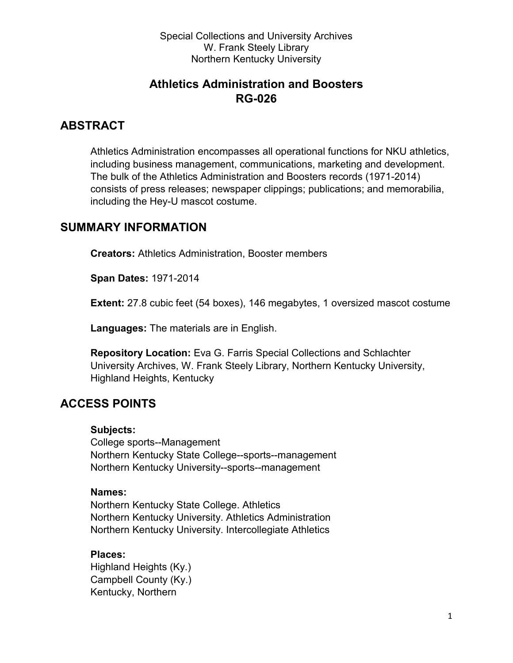## **Athletics Administration and Boosters RG-026**

## **ABSTRACT**

Athletics Administration encompasses all operational functions for NKU athletics, including business management, communications, marketing and development. The bulk of the Athletics Administration and Boosters records (1971-2014) consists of press releases; newspaper clippings; publications; and memorabilia, including the Hey-U mascot costume.

## **SUMMARY INFORMATION**

**Creators:** Athletics Administration, Booster members

**Span Dates:** 1971-2014

**Extent:** 27.8 cubic feet (54 boxes), 146 megabytes, 1 oversized mascot costume

**Languages:** The materials are in English.

**Repository Location:** Eva G. Farris Special Collections and Schlachter University Archives, W. Frank Steely Library, Northern Kentucky University, Highland Heights, Kentucky

# **ACCESS POINTS**

#### **Subjects:**

College sports--Management Northern Kentucky State College--sports--management Northern Kentucky University--sports--management

#### **Names:**

Northern Kentucky State College. Athletics Northern Kentucky University. Athletics Administration Northern Kentucky University. Intercollegiate Athletics

#### **Places:**

Highland Heights (Ky.) Campbell County (Ky.) Kentucky, Northern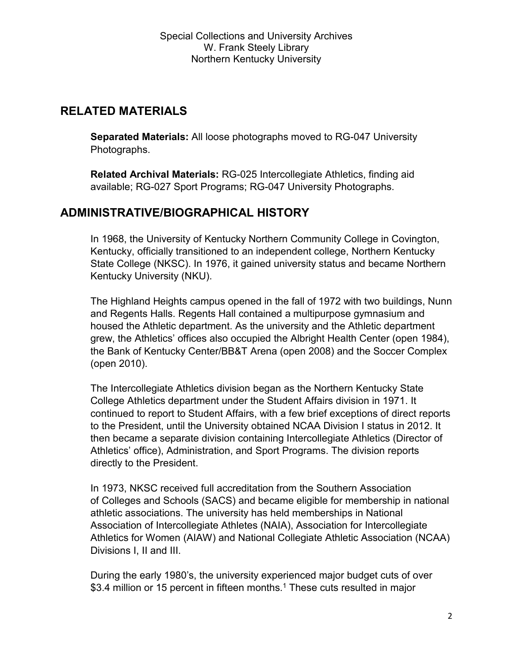# **RELATED MATERIALS**

**Separated Materials:** All loose photographs moved to RG-047 University Photographs.

**Related Archival Materials:** RG-025 Intercollegiate Athletics, finding aid available; RG-027 Sport Programs; RG-047 University Photographs.

# **ADMINISTRATIVE/BIOGRAPHICAL HISTORY**

In 1968, the University of Kentucky Northern Community College in Covington, Kentucky, officially transitioned to an independent college, Northern Kentucky State College (NKSC). In 1976, it gained university status and became Northern Kentucky University (NKU).

The Highland Heights campus opened in the fall of 1972 with two buildings, Nunn and Regents Halls. Regents Hall contained a multipurpose gymnasium and housed the Athletic department. As the university and the Athletic department grew, the Athletics' offices also occupied the Albright Health Center (open 1984), the Bank of Kentucky Center/BB&T Arena (open 2008) and the Soccer Complex (open 2010).

The Intercollegiate Athletics division began as the Northern Kentucky State College Athletics department under the Student Affairs division in 1971. It continued to report to Student Affairs, with a few brief exceptions of direct reports to the President, until the University obtained NCAA Division I status in 2012. It then became a separate division containing Intercollegiate Athletics (Director of Athletics' office), Administration, and Sport Programs. The division reports directly to the President.

In 1973, NKSC received full accreditation from the Southern Association of Colleges and Schools (SACS) and became eligible for membership in national athletic associations. The university has held memberships in National Association of Intercollegiate Athletes (NAIA), Association for Intercollegiate Athletics for Women (AIAW) and National Collegiate Athletic Association (NCAA) Divisions I, II and III.

During the early 1980's, the university experienced major budget cuts of over \$3.4 million or 15 percent in fifteen months.<sup>1</sup> These cuts resulted in major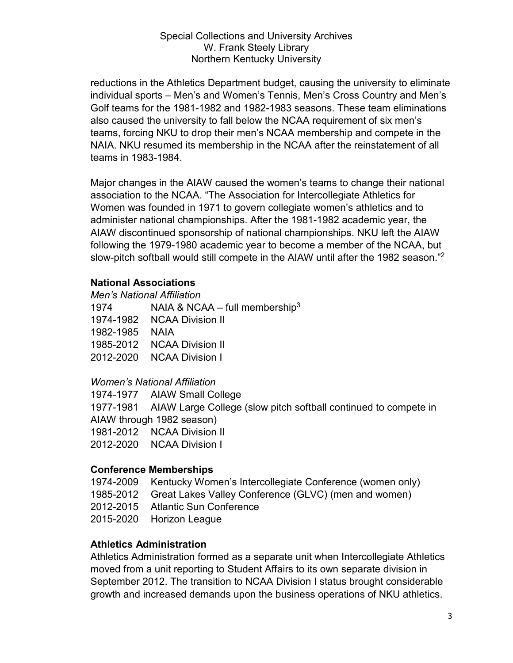reductions in the Athletics Department budget, causing the university to eliminate individual sports – Men's and Women's Tennis, Men's Cross Country and Men's Golf teams for the 1981-1982 and 1982-1983 seasons. These team eliminations also caused the university to fall below the NCAA requirement of six men's teams, forcing NKU to drop their men's NCAA membership and compete in the NAIA. NKU resumed its membership in the NCAA after the reinstatement of all teams in 1983-1984.

Major changes in the AIAW caused the women's teams to change their national association to the NCAA. "The Association for Intercollegiate Athletics for Women was founded in 1971 to govern collegiate women's athletics and to administer national championships. After the 1981-1982 academic year, the AIAW discontinued sponsorship of national championships. NKU left the AIAW following the 1979-1980 academic year to become a member of the NCAA, but slow-pitch softball would still compete in the AIAW until after the 1982 season."2

### **National Associations**

*Men's National Affiliation*

1974 NAIA & NCAA – full membership<sup>3</sup> 1974-1982 NCAA Division II 1982-1985 NAIA 1985-2012 NCAA Division II 2012-2020 NCAA Division I

## *Women's National Affiliation*

1974-1977 AIAW Small College 1977-1981 AIAW Large College (slow pitch softball continued to compete in AIAW through 1982 season) 1981-2012 NCAA Division II 2012-2020 NCAA Division I

# **Conference Memberships**

1974-2009 Kentucky Women's Intercollegiate Conference (women only)

- 1985-2012 Great Lakes Valley Conference (GLVC) (men and women)
- 2012-2015 Atlantic Sun Conference
- 2015-2020 Horizon League

## **Athletics Administration**

Athletics Administration formed as a separate unit when Intercollegiate Athletics moved from a unit reporting to Student Affairs to its own separate division in September 2012. The transition to NCAA Division I status brought considerable growth and increased demands upon the business operations of NKU athletics.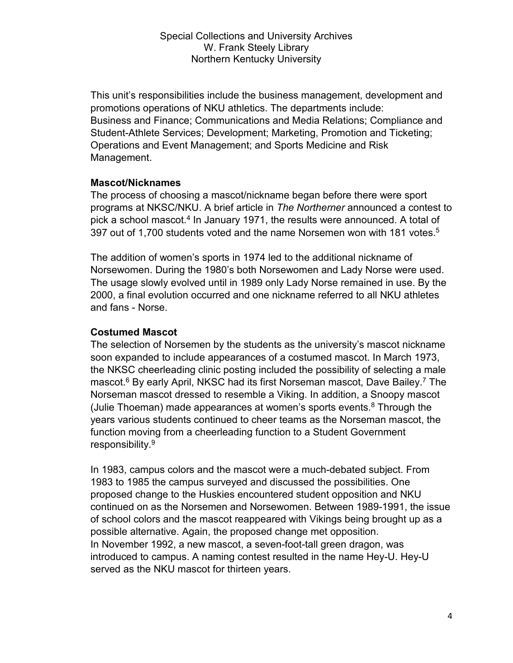This unit's responsibilities include the business management, development and promotions operations of NKU athletics. The departments include: Business and Finance; Communications and Media Relations; Compliance and Student-Athlete Services; Development; Marketing, Promotion and Ticketing; Operations and Event Management; and Sports Medicine and Risk Management.

### **Mascot/Nicknames**

The process of choosing a mascot/nickname began before there were sport programs at NKSC/NKU. A brief article in *The Northerner* announced a contest to pick a school mascot.<sup>4</sup> In January 1971, the results were announced. A total of 397 out of 1,700 students voted and the name Norsemen won with 181 votes.<sup>5</sup>

The addition of women's sports in 1974 led to the additional nickname of Norsewomen. During the 1980's both Norsewomen and Lady Norse were used. The usage slowly evolved until in 1989 only Lady Norse remained in use. By the 2000, a final evolution occurred and one nickname referred to all NKU athletes and fans - Norse.

## **Costumed Mascot**

The selection of Norsemen by the students as the university's mascot nickname soon expanded to include appearances of a costumed mascot. In March 1973, the NKSC cheerleading clinic posting included the possibility of selecting a male mascot.<sup>6</sup> By early April, NKSC had its first Norseman mascot, Dave Bailey.<sup>7</sup> The Norseman mascot dressed to resemble a Viking. In addition, a Snoopy mascot (Julie Thoeman) made appearances at women's sports events. <sup>8</sup> Through the years various students continued to cheer teams as the Norseman mascot, the function moving from a cheerleading function to a Student Government responsibility.9

In 1983, campus colors and the mascot were a much-debated subject. From 1983 to 1985 the campus surveyed and discussed the possibilities. One proposed change to the Huskies encountered student opposition and NKU continued on as the Norsemen and Norsewomen. Between 1989-1991, the issue of school colors and the mascot reappeared with Vikings being brought up as a possible alternative. Again, the proposed change met opposition. In November 1992, a new mascot, a seven-foot-tall green dragon, was introduced to campus. A naming contest resulted in the name Hey-U. Hey-U served as the NKU mascot for thirteen years.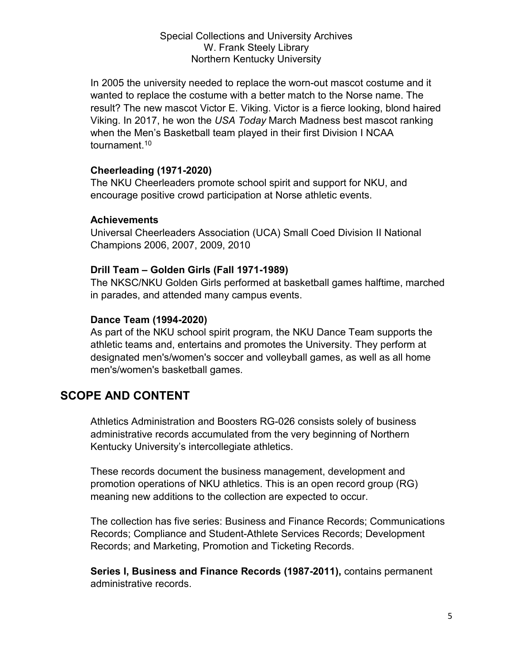In 2005 the university needed to replace the worn-out mascot costume and it wanted to replace the costume with a better match to the Norse name. The result? The new mascot Victor E. Viking. Victor is a fierce looking, blond haired Viking. In 2017, he won the *USA Today* March Madness best mascot ranking when the Men's Basketball team played in their first Division I NCAA tournament.<sup>10</sup>

### **Cheerleading (1971-2020)**

The NKU Cheerleaders promote school spirit and support for NKU, and encourage positive crowd participation at Norse athletic events.

### **Achievements**

Universal Cheerleaders Association (UCA) Small Coed Division II National Champions 2006, 2007, 2009, 2010

### **Drill Team – Golden Girls (Fall 1971-1989)**

The NKSC/NKU Golden Girls performed at basketball games halftime, marched in parades, and attended many campus events.

### **Dance Team (1994-2020)**

As part of the NKU school spirit program, the NKU Dance Team supports the athletic teams and, entertains and promotes the University. They perform at designated men's/women's soccer and volleyball games, as well as all home men's/women's basketball games.

# **SCOPE AND CONTENT**

Athletics Administration and Boosters RG-026 consists solely of business administrative records accumulated from the very beginning of Northern Kentucky University's intercollegiate athletics.

These records document the business management, development and promotion operations of NKU athletics. This is an open record group (RG) meaning new additions to the collection are expected to occur.

The collection has five series: Business and Finance Records; Communications Records; Compliance and Student-Athlete Services Records; Development Records; and Marketing, Promotion and Ticketing Records.

**Series I, Business and Finance Records (1987-2011),** contains permanent administrative records.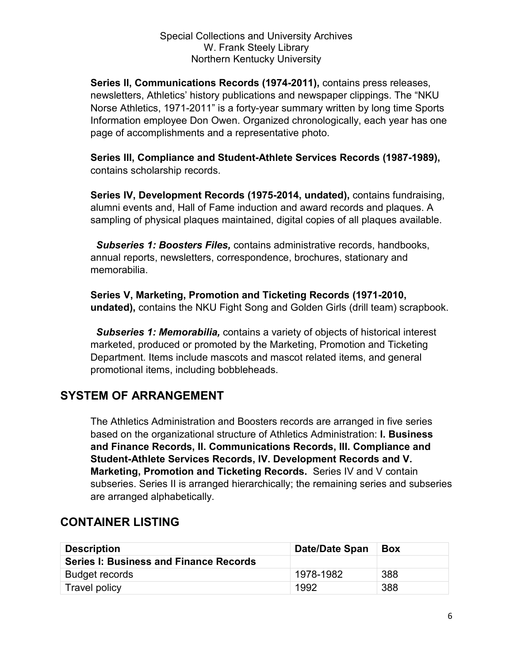**Series II, Communications Records (1974-2011),** contains press releases, newsletters, Athletics' history publications and newspaper clippings. The "NKU Norse Athletics, 1971-2011" is a forty-year summary written by long time Sports Information employee Don Owen. Organized chronologically, each year has one page of accomplishments and a representative photo.

**Series III, Compliance and Student-Athlete Services Records (1987-1989),**  contains scholarship records.

**Series IV, Development Records (1975-2014, undated),** contains fundraising, alumni events and, Hall of Fame induction and award records and plaques. A sampling of physical plaques maintained, digital copies of all plaques available.

 *Subseries 1: Boosters Files,* contains administrative records, handbooks, annual reports, newsletters, correspondence, brochures, stationary and memorabilia.

**Series V, Marketing, Promotion and Ticketing Records (1971-2010, undated),** contains the NKU Fight Song and Golden Girls (drill team) scrapbook.

 *Subseries 1: Memorabilia,* contains a variety of objects of historical interest marketed, produced or promoted by the Marketing, Promotion and Ticketing Department. Items include mascots and mascot related items, and general promotional items, including bobbleheads.

# **SYSTEM OF ARRANGEMENT**

The Athletics Administration and Boosters records are arranged in five series based on the organizational structure of Athletics Administration: **I. Business and Finance Records, II. Communications Records, III. Compliance and Student-Athlete Services Records, IV. Development Records and V. Marketing, Promotion and Ticketing Records.** Series IV and V contain subseries. Series II is arranged hierarchically; the remaining series and subseries are arranged alphabetically.

| <b>Description</b>                            | <b>Date/Date Span</b> | <b>Box</b> |
|-----------------------------------------------|-----------------------|------------|
| <b>Series I: Business and Finance Records</b> |                       |            |
| <b>Budget records</b>                         | 1978-1982             | 388        |
| <b>Travel policy</b>                          | 1992                  | 388        |

# **CONTAINER LISTING**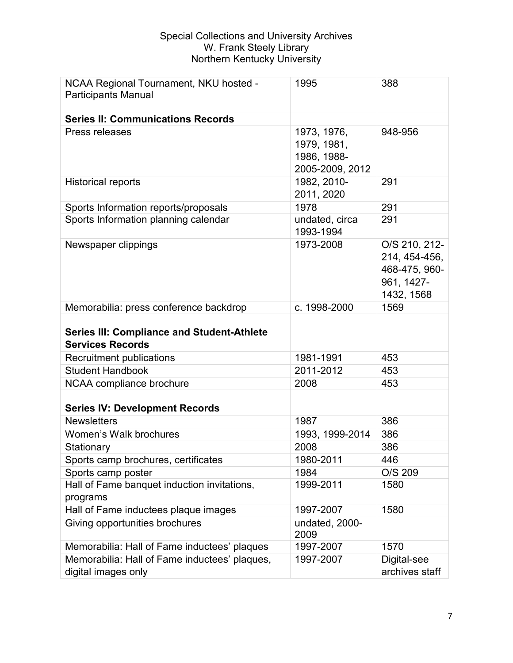| NCAA Regional Tournament, NKU hosted -<br><b>Participants Manual</b>         | 1995                                                         | 388                                                                         |
|------------------------------------------------------------------------------|--------------------------------------------------------------|-----------------------------------------------------------------------------|
|                                                                              |                                                              |                                                                             |
| <b>Series II: Communications Records</b>                                     |                                                              |                                                                             |
| Press releases                                                               | 1973, 1976,<br>1979, 1981,<br>1986, 1988-<br>2005-2009, 2012 | 948-956                                                                     |
| <b>Historical reports</b>                                                    | 1982, 2010-<br>2011, 2020                                    | 291                                                                         |
| Sports Information reports/proposals                                         | 1978                                                         | 291                                                                         |
| Sports Information planning calendar                                         | undated, circa<br>1993-1994                                  | 291                                                                         |
| Newspaper clippings                                                          | 1973-2008                                                    | O/S 210, 212-<br>214, 454-456,<br>468-475, 960-<br>961, 1427-<br>1432, 1568 |
| Memorabilia: press conference backdrop                                       | c. 1998-2000                                                 | 1569                                                                        |
| <b>Series III: Compliance and Student-Athlete</b><br><b>Services Records</b> |                                                              |                                                                             |
| Recruitment publications                                                     | 1981-1991                                                    | 453                                                                         |
| <b>Student Handbook</b>                                                      | 2011-2012                                                    | 453                                                                         |
| NCAA compliance brochure                                                     | 2008                                                         | 453                                                                         |
|                                                                              |                                                              |                                                                             |
| <b>Series IV: Development Records</b>                                        |                                                              |                                                                             |
| <b>Newsletters</b>                                                           | 1987                                                         | 386                                                                         |
| Women's Walk brochures                                                       | 1993, 1999-2014                                              | 386                                                                         |
| Stationary                                                                   | 2008                                                         | 386                                                                         |
| Sports camp brochures, certificates                                          | 1980-2011                                                    | 446                                                                         |
| Sports camp poster                                                           | 1984                                                         | O/S 209                                                                     |
| Hall of Fame banquet induction invitations,<br>programs                      | 1999-2011                                                    | 1580                                                                        |
| Hall of Fame inductees plaque images                                         | 1997-2007                                                    | 1580                                                                        |
| Giving opportunities brochures                                               | undated, 2000-<br>2009                                       |                                                                             |
| Memorabilia: Hall of Fame inductees' plaques                                 | 1997-2007                                                    | 1570                                                                        |
| Memorabilia: Hall of Fame inductees' plaques,<br>digital images only         | 1997-2007                                                    | Digital-see<br>archives staff                                               |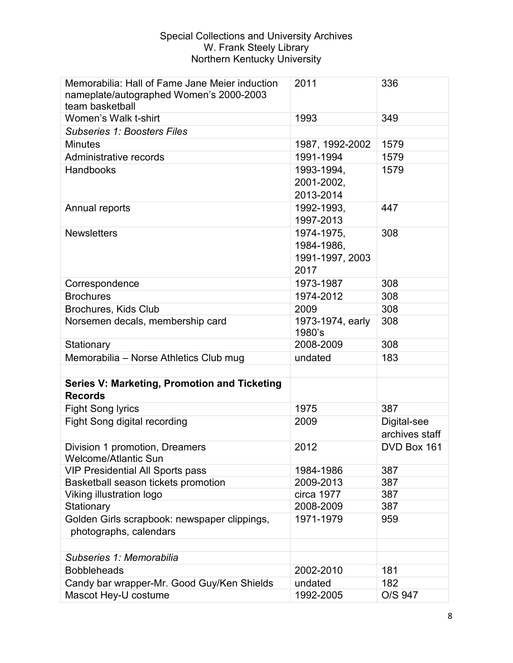| Memorabilia: Hall of Fame Jane Meier induction<br>nameplate/autographed Women's 2000-2003<br>team basketball | 2011                                                | 336                           |
|--------------------------------------------------------------------------------------------------------------|-----------------------------------------------------|-------------------------------|
| Women's Walk t-shirt                                                                                         | 1993                                                | 349                           |
| <b>Subseries 1: Boosters Files</b>                                                                           |                                                     |                               |
| <b>Minutes</b>                                                                                               | 1987, 1992-2002                                     | 1579                          |
| Administrative records                                                                                       | 1991-1994                                           | 1579                          |
| Handbooks                                                                                                    | 1993-1994,<br>2001-2002,<br>2013-2014               | 1579                          |
| Annual reports                                                                                               | 1992-1993,<br>1997-2013                             | 447                           |
| <b>Newsletters</b>                                                                                           | 1974-1975,<br>1984-1986,<br>1991-1997, 2003<br>2017 | 308                           |
| Correspondence                                                                                               | 1973-1987                                           | 308                           |
| <b>Brochures</b>                                                                                             | 1974-2012                                           | 308                           |
| <b>Brochures, Kids Club</b>                                                                                  | 2009                                                | 308                           |
| Norsemen decals, membership card                                                                             | 1973-1974, early<br>1980's                          | 308                           |
| Stationary                                                                                                   | 2008-2009                                           | 308                           |
| Memorabilia – Norse Athletics Club mug                                                                       | undated                                             | 183                           |
|                                                                                                              |                                                     |                               |
| Series V: Marketing, Promotion and Ticketing<br><b>Records</b>                                               |                                                     |                               |
| <b>Fight Song lyrics</b>                                                                                     | 1975                                                | 387                           |
| Fight Song digital recording                                                                                 | 2009                                                | Digital-see<br>archives staff |
| Division 1 promotion, Dreamers<br><b>Welcome/Atlantic Sun</b>                                                | 2012                                                | DVD Box 161                   |
| <b>VIP Presidential All Sports pass</b>                                                                      | 1984-1986                                           | 387                           |
| Basketball season tickets promotion                                                                          | 2009-2013                                           | 387                           |
| Viking illustration logo                                                                                     | circa 1977                                          | 387                           |
| Stationary                                                                                                   | 2008-2009                                           | 387                           |
| Golden Girls scrapbook: newspaper clippings,<br>photographs, calendars                                       | 1971-1979                                           | 959                           |
|                                                                                                              |                                                     |                               |
| Subseries 1: Memorabilia                                                                                     |                                                     |                               |
| <b>Bobbleheads</b>                                                                                           | 2002-2010                                           | 181                           |
| Candy bar wrapper-Mr. Good Guy/Ken Shields                                                                   | undated                                             | 182                           |
| Mascot Hey-U costume                                                                                         | 1992-2005                                           | O/S 947                       |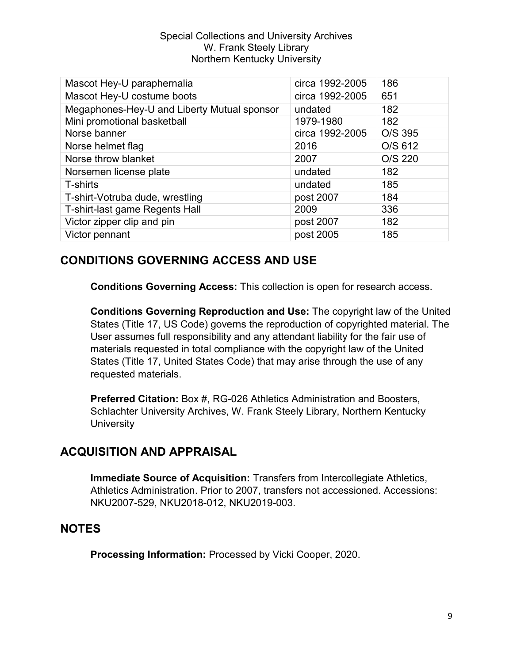| Mascot Hey-U paraphernalia                  | circa 1992-2005 | 186     |
|---------------------------------------------|-----------------|---------|
| Mascot Hey-U costume boots                  | circa 1992-2005 | 651     |
| Megaphones-Hey-U and Liberty Mutual sponsor | undated         | 182     |
| Mini promotional basketball                 | 1979-1980       | 182     |
| Norse banner                                | circa 1992-2005 | O/S 395 |
| Norse helmet flag                           | 2016            | O/S 612 |
| Norse throw blanket                         | 2007            | O/S 220 |
| Norsemen license plate                      | undated         | 182     |
| T-shirts                                    | undated         | 185     |
| T-shirt-Votruba dude, wrestling             | post 2007       | 184     |
| T-shirt-last game Regents Hall              | 2009            | 336     |
| Victor zipper clip and pin                  | post 2007       | 182     |
| Victor pennant                              | post 2005       | 185     |

# **CONDITIONS GOVERNING ACCESS AND USE**

**Conditions Governing Access:** This collection is open for research access.

**Conditions Governing Reproduction and Use:** The copyright law of the United States (Title 17, US Code) governs the reproduction of copyrighted material. The User assumes full responsibility and any attendant liability for the fair use of materials requested in total compliance with the copyright law of the United States (Title 17, United States Code) that may arise through the use of any requested materials.

**Preferred Citation:** Box #, RG-026 Athletics Administration and Boosters, Schlachter University Archives, W. Frank Steely Library, Northern Kentucky **University** 

# **ACQUISITION AND APPRAISAL**

**Immediate Source of Acquisition:** Transfers from Intercollegiate Athletics, Athletics Administration. Prior to 2007, transfers not accessioned. Accessions: NKU2007-529, NKU2018-012, NKU2019-003.

# **NOTES**

**Processing Information:** Processed by Vicki Cooper, 2020.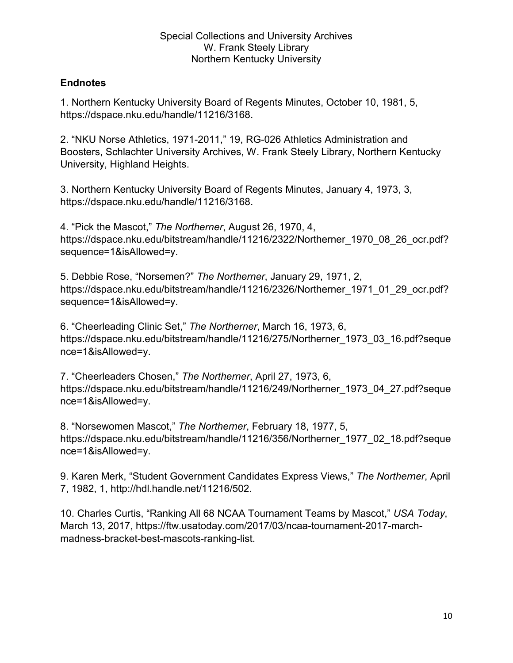## **Endnotes**

1. Northern Kentucky University Board of Regents Minutes, October 10, 1981, 5, https://dspace.nku.edu/handle/11216/3168.

2. "NKU Norse Athletics, 1971-2011," 19, RG-026 Athletics Administration and Boosters, Schlachter University Archives, W. Frank Steely Library, Northern Kentucky University, Highland Heights.

3. Northern Kentucky University Board of Regents Minutes, January 4, 1973, 3, https://dspace.nku.edu/handle/11216/3168.

4. "Pick the Mascot," *The Northerner*, August 26, 1970, 4, https://dspace.nku.edu/bitstream/handle/11216/2322/Northerner\_1970\_08\_26\_ocr.pdf? sequence=1&isAllowed=y.

5. Debbie Rose, "Norsemen?" *The Northerner*, January 29, 1971, 2, https://dspace.nku.edu/bitstream/handle/11216/2326/Northerner\_1971\_01\_29\_ocr.pdf? sequence=1&isAllowed=y.

6. "Cheerleading Clinic Set," *The Northerner*, March 16, 1973, 6, https://dspace.nku.edu/bitstream/handle/11216/275/Northerner\_1973\_03\_16.pdf?seque nce=1&isAllowed=y.

7. "Cheerleaders Chosen," *The Northerner*, April 27, 1973, 6, https://dspace.nku.edu/bitstream/handle/11216/249/Northerner\_1973\_04\_27.pdf?seque nce=1&isAllowed=y.

8. "Norsewomen Mascot," *The Northerner*, February 18, 1977, 5, https://dspace.nku.edu/bitstream/handle/11216/356/Northerner\_1977\_02\_18.pdf?seque nce=1&isAllowed=y.

9. Karen Merk, "Student Government Candidates Express Views," *The Northerner*, April 7, 1982, 1, http://hdl.handle.net/11216/502.

10. Charles Curtis, "Ranking All 68 NCAA Tournament Teams by Mascot," *USA Today*, March 13, 2017, https://ftw.usatoday.com/2017/03/ncaa-tournament-2017-marchmadness-bracket-best-mascots-ranking-list.